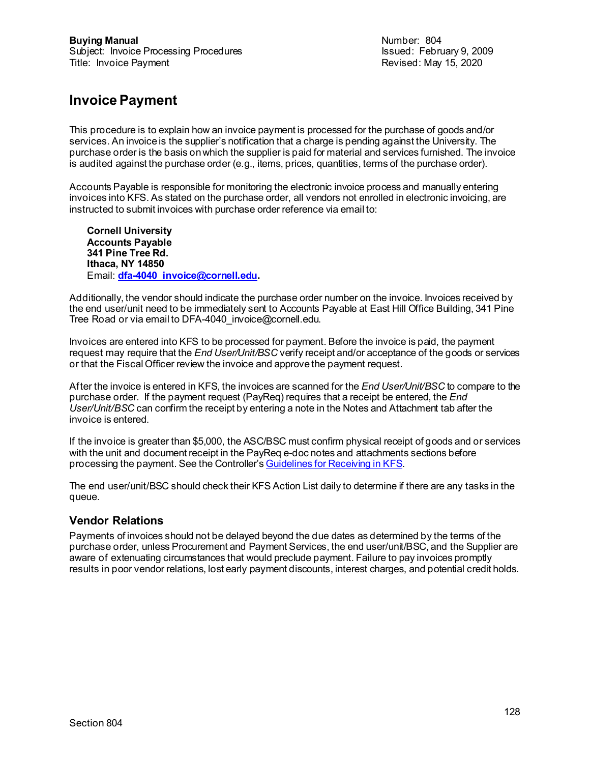Revised: May 15, 2020

### **Invoice Payment**

This procedure is to explain how an invoice payment is processed for the purchase of goods and/or services. An invoice is the supplier's notification that a charge is pending against the University. The purchase order is the basis on which the supplier is paid for material and services furnished. The invoice is audited against the purchase order (e.g., items, prices, quantities, terms of the purchase order).

Accounts Payable is responsible for monitoring the electronic invoice process and manually entering invoices into KFS. As stated on the purchase order, all vendors not enrolled in electronic invoicing, are instructed to submit invoices with purchase order reference via email to:

**Cornell University Accounts Payable 341 Pine Tree Rd. Ithaca, NY 14850** Email: **[dfa-4040\\_invoice@cornell.edu](mailto:dfa-4040_invoice@cornell.edu).**

Additionally, the vendor should indicate the purchase order number on the invoice. Invoices received by the end user/unit need to be immediately sent to Accounts Payable at East Hill Office Building, 341 Pine Tree Road or via email to DFA-4040 invoice@cornell.edu.

Invoices are entered into KFS to be processed for payment. Before the invoice is paid, the payment request may require that the *End User/Unit/BSC* verify receipt and/or acceptance of the goods or services or that the Fiscal Officer review the invoice and approve the payment request.

After the invoice is entered in KFS, the invoices are scanned for the *End User/Unit/BSC* to compare to the purchase order. If the payment request (PayReq) requires that a receipt be entered, the *End User/Unit/BSC* can confirm the receipt by entering a note in the Notes and Attachment tab after the invoice is entered.

If the invoice is greater than \$5,000, the ASC/BSC must confirm physical receipt of goods and or services with the unit and document receipt in the PayReq e-doc notes and attachments sections before processing the payment. See the Controller'[s Guidelines for Receiving in KFS.](https://www.dfa.cornell.edu/sites/default/files/kfs-receiving-procedure.pdf)

The end user/unit/BSC should check their KFS Action List daily to determine if there are any tasks in the queue.

### **Vendor Relations**

Payments of invoices should not be delayed beyond the due dates as determined by the terms of the purchase order, unless Procurement and Payment Services, the end user/unit/BSC, and the Supplier are aware of extenuating circumstances that would preclude payment. Failure to pay invoices promptly results in poor vendor relations, lost early payment discounts, interest charges, and potential credit holds.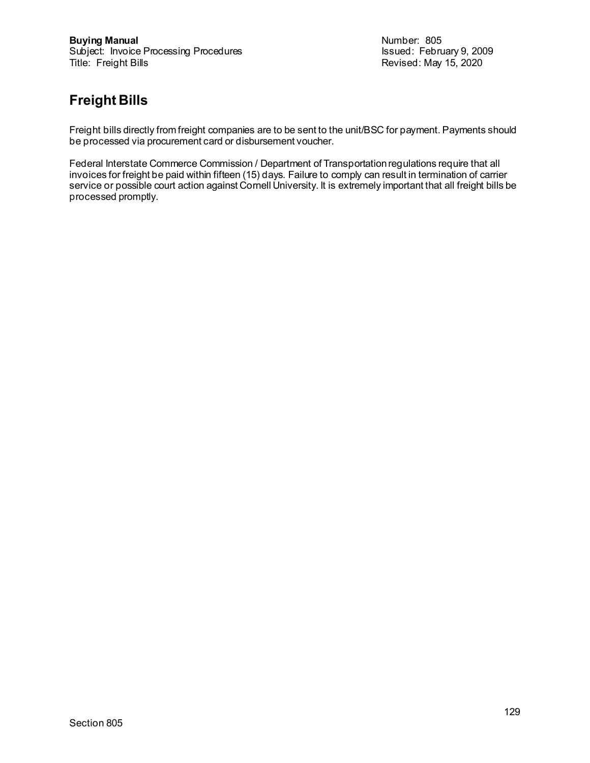Revised: May 15, 2020

# **Freight Bills**

Freight bills directly from freight companies are to be sent to the unit/BSC for payment. Payments should be processed via procurement card or disbursement voucher.

Federal Interstate Commerce Commission / Department of Transportation regulations require that all invoices for freight be paid within fifteen (15) days. Failure to comply can result in termination of carrier service or possible court action against Cornell University. It is extremely important that all freight bills be processed promptly.